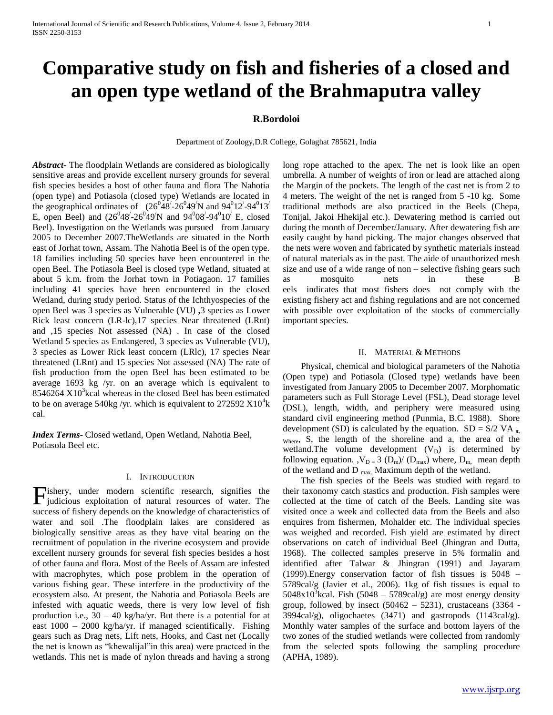# **Comparative study on fish and fisheries of a closed and an open type wetland of the Brahmaputra valley**

## **R.Bordoloi**

Department of Zoology,D.R College, Golaghat 785621, India

*Abstract***-** The floodplain Wetlands are considered as biologically sensitive areas and provide excellent nursery grounds for several fish species besides a host of other fauna and flora The Nahotia (open type) and Potiasola (closed type) Wetlands are located in the geographical ordinates of  $(26^{0.48/-}26^{0.49})$  and 94 $(0.12^{0.49})$ E, open Beel) and  $(26^{0}48' - 26^{0}49')N$  and  $94^{0}08' - 94^{0}10'$  E, closed Beel). Investigation on the Wetlands was pursued from January 2005 to December 2007.TheWetlands are situated in the North east of Jorhat town, Assam. The Nahotia Beel is of the open type. 18 families including 50 species have been encountered in the open Beel. The Potiasola Beel is closed type Wetland, situated at about 5 k.m. from the Jorhat town in Potiagaon. 17 families including 41 species have been encountered in the closed Wetland, during study period. Status of the Ichthyospecies of the open Beel was 3 species as Vulnerable (VU) **,**3 species as Lower Rick least concern (LR-lc),17 species Near threatened (LRnt) and ,15 species Not assessed (NA) . In case of the closed Wetland 5 species as Endangered, 3 species as Vulnerable (VU), 3 species as Lower Rick least concern (LRlc), 17 species Near threatened (LRnt) and 15 species Not assessed (NA) The rate of fish production from the open Beel has been estimated to be average 1693 kg /yr. on an average which is equivalent to  $8546264$   $X10<sup>3</sup>$  kcal whereas in the closed Beel has been estimated to be on average 540kg /yr. which is equivalent to 272592  $X10^4$ k cal.

*Index Terms*- Closed wetland, Open Wetland, Nahotia Beel, Potiasola Beel etc.

### I. INTRODUCTION

ishery, under modern scientific research, signifies the Fishery, under modern scientific research, signifies the judicious exploitation of natural resources of water. The success of fishery depends on the knowledge of characteristics of water and soil .The floodplain lakes are considered as biologically sensitive areas as they have vital bearing on the recruitment of population in the riverine ecosystem and provide excellent nursery grounds for several fish species besides a host of other fauna and flora. Most of the Beels of Assam are infested with macrophytes, which pose problem in the operation of various fishing gear. These interfere in the productivity of the ecosystem also. At present, the Nahotia and Potiasola Beels are infested with aquatic weeds, there is very low level of fish production i.e., 30 – 40 kg/ha/yr. But there is a potential for at east 1000 – 2000 kg/ha/yr. if managed scientifically. Fishing gears such as Drag nets, Lift nets, Hooks, and Cast net (Locally the net is known as "khewalijal"in this area) were practced in the wetlands. This net is made of nylon threads and having a strong

long rope attached to the apex. The net is look like an open umbrella. A number of weights of iron or lead are attached along the Margin of the pockets. The length of the cast net is from 2 to 4 meters. The weight of the net is ranged from 5 -10 kg. Some traditional methods are also practiced in the Beels (Chepa, Tonijal, Jakoi Hhekijal etc.). Dewatering method is carried out during the month of December/January. After dewatering fish are easily caught by hand picking. The major changes observed that the nets were woven and fabricated by synthetic materials instead of natural materials as in the past. The aide of unauthorized mesh size and use of a wide range of non – selective fishing gears such as mosquito nets in these B eels indicates that most fishers does not comply with the existing fishery act and fishing regulations and are not concerned with possible over exploitation of the stocks of commercially important species.

### II. MATERIAL & METHODS

 Physical, chemical and biological parameters of the Nahotia (Open type) and Potiasola (Closed type) wetlands have been investigated from January 2005 to December 2007. Morphomatic parameters such as Full Storage Level (FSL), Dead storage level (DSL), length, width, and periphery were measured using standard civil engineering method (Punmia, B.C. 1988). Shore development (SD) is calculated by the equation.  $SD = S/2 VA_{\pi}$ <sub>Where</sub>, S, the length of the shoreline and a, the area of the wetland. The volume development  $(V_D)$  is determined by following equation.  $,V_{D} = 3$  ( $D_m$ )/ ( $D_{max}$ ) where,  $D_m$ , mean depth of the wetland and  $D_{\text{max}}$ . Maximum depth of the wetland.

 The fish species of the Beels was studied with regard to their taxonomy catch stastics and production. Fish samples were collected at the time of catch of the Beels. Landing site was visited once a week and collected data from the Beels and also enquires from fishermen, Mohalder etc. The individual species was weighed and recorded. Fish yield are estimated by direct observations on catch of individual Beel (Jhingran and Dutta, 1968). The collected samples preserve in 5% formalin and identified after Talwar & Jhingran (1991) and Jayaram (1999).Energy conservation factor of fish tissues is 5048 – 5789cal/g (Javier et al., 2006). 1kg of fish tissues is equal to  $5048 \times 10^3$  kcal. Fish (5048 – 5789cal/g) are most energy density group, followed by insect  $(50462 - 5231)$ , crustaceans  $(3364 -$ 3994cal/g), oligochaetes (3471) and gastropods (1143cal/g). Monthly water samples of the surface and bottom layers of the two zones of the studied wetlands were collected from randomly from the selected spots following the sampling procedure (APHA, 1989).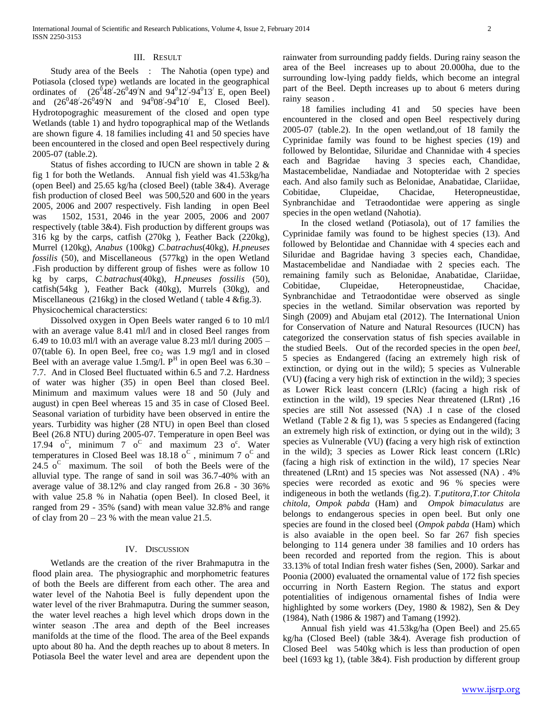## III. RESULT

 Study area of the Beels : The Nahotia (open type) and Potiasola (closed type) wetlands are located in the geographical ordinates of  $(26^{\circ}48^{\circ} - 26^{\circ}49^{\circ})N$  and  $94^{\circ}12^{\circ} - 94^{\circ}13^{\circ}$  E, open Beel) and  $(26^048' - 26^049'N$  and  $94^008' - 94^010'$  E, Closed Beel). Hydrotopograghic measurement of the closed and open type Wetlands (table 1) and hydro topographical map of the Wetlands are shown figure 4. 18 families including 41 and 50 species have been encountered in the closed and open Beel respectively during 2005-07 (table.2).

 Status of fishes according to IUCN are shown in table 2 & fig 1 for both the Wetlands. Annual fish yield was 41.53kg/ha (open Beel) and 25.65 kg/ha (closed Beel) (table 3&4). Average fish production of closed Beel was 500,520 and 600 in the years 2005, 2006 and 2007 respectively. Fish landing in open Beel was 1502, 1531, 2046 in the year 2005, 2006 and 2007 respectively (table 3&4). Fish production by different groups was 316 kg by the carps, catfish (270kg ), Feather Back (220kg), Murrel (120kg), *Anabus* (100kg) *C.batrachus*(40kg), *H.pneuses fossilis* (50), and Miscellaneous (577kg) in the open Wetland .Fish production by different group of fishes were as follow 10 kg by carps, *C.batrachus*(40kg), *H.pneuses fossilis* (50), catfish(54kg ), Feather Back (40kg), Murrels (30kg), and Miscellaneous (216kg) in the closed Wetland ( table 4 &fig.3). Physicochemical characterstics:

 Dissolved oxygen in Open Beels water ranged 6 to 10 ml/l with an average value 8.41 ml/l and in closed Beel ranges from 6.49 to 10.03 ml/l with an average value 8.23 ml/l during 2005 – 07(table 6). In open Beel, free  $\cos_2$  was 1.9 mg/l and in closed Beel with an average value 1.5mg/l.  $P<sup>H</sup>$  in open Beel was 6.30 – 7.7. And in Closed Beel fluctuated within 6.5 and 7.2. Hardness of water was higher (35) in open Beel than closed Beel. Minimum and maximum values were 18 and 50 (July and august) in cpen Beel whereas 15 and 35 in case of Closed Beel. Seasonal variation of turbidity have been observed in entire the years. Turbidity was higher (28 NTU) in open Beel than closed Beel (26.8 NTU) during 2005-07. Temperature in open Beel was 17.94  $o^C$ , minimum  $7 \space o^C$  and maximum  $23 \space o^c$ . Water temperatures in Closed Beel was 18.18  $o^C$ , minimum 7  $o^C$  and 24.5  $o^C$  maximum. The soil of both the Beels were of the alluvial type. The range of sand in soil was 36.7-40% with an average value of 38.12% and clay ranged from 26.8 - 30 36% with value 25.8 % in Nahatia (open Beel). In closed Beel, it ranged from 29 - 35% (sand) with mean value 32.8% and range of clay from  $20 - 23$  % with the mean value 21.5.

#### IV. DISCUSSION

 Wetlands are the creation of the river Brahmaputra in the flood plain area. The physiographic and morphometric features of both the Beels are different from each other. The area and water level of the Nahotia Beel is fully dependent upon the water level of the river Brahmaputra. During the summer season, the water level reaches a high level which drops down in the winter season .The area and depth of the Beel increases manifolds at the time of the flood. The area of the Beel expands upto about 80 ha. And the depth reaches up to about 8 meters. In Potiasola Beel the water level and area are dependent upon the

 18 families including 41 and 50 species have been encountered in the closed and open Beel respectively during 2005-07 (table.2). In the open wetland,out of 18 family the Cyprinidae family was found to be highest species (19) and followed by Belontidae, Siluridae and Channidae with 4 species each and Bagridae having 3 species each, Chandidae, Mastacembelidae, Nandiadae and Notopteridae with 2 species each. And also family such as Belonidae, Anabatidae, Clariidae, Cobitidae, Clupeidae, Chacidae, Heteropneustidae, Synbranchidae and Tetraodontidae were appering as single species in the open wetland (Nahotia).

 In the closed wetland (Potiasola), out of 17 families the Cyprinidae family was found to be highest species (13). And followed by Belontidae and Channidae with 4 species each and Siluridae and Bagridae having 3 species each, Chandidae, Mastacembelidae and Nandiadae with 2 species each. The remaining family such as Belonidae, Anabatidae, Clariidae, Cobitidae, Clupeidae, Heteropneustidae, Chacidae, Synbranchidae and Tetraodontidae were observed as single species in the wetland. Similar observation was reported by Singh (2009) and Abujam etal (2012). The International Union for Conservation of Nature and Natural Resources (IUCN) has categorized the conservation status of fish species available in the studied Beels. Out of the recorded species in the open *beel*, 5 species as Endangered (facing an extremely high risk of extinction, or dying out in the wild); 5 species as Vulnerable (VU) **(**facing a very high risk of extinction in the wild); 3 species as Lower Rick least concern (LRlc) (facing a high risk of extinction in the wild), 19 species Near threatened (LRnt) ,16 species are still Not assessed (NA) .I n case of the closed Wetland (Table 2 & fig 1), was 5 species as Endangered (facing an extremely high risk of extinction, or dying out in the wild); 3 species as Vulnerable (VU) **(**facing a very high risk of extinction in the wild); 3 species as Lower Rick least concern (LRlc) (facing a high risk of extinction in the wild), 17 species Near threatened (LRnt) and 15 species was Not assessed (NA) . 4% species were recorded as exotic and 96 % species were indigeneous in both the wetlands (fig.2). *T.putitora,T.tor Chitola chitola, Ompok pabda* (Ham) and *Ompok bimaculatus* are belongs to endangerous species in open beel. But only one species are found in the closed beel (*Ompok pabda* (Ham) which is also avaiable in the open beel. So far 267 fish species belonging to 114 genera under 38 families and 10 orders has been recorded and reported from the region. This is about 33.13% of total Indian fresh water fishes (Sen, 2000). Sarkar and Poonia (2000) evaluated the ornamental value of 172 fish species occurring in North Eastern Region. The status and export potentialities of indigenous ornamental fishes of India were highlighted by some workers (Dey, 1980 & 1982), Sen & Dey (1984), Nath (1986 & 1987) and Tamang (1992).

 Annual fish yield was 41.53kg/ha (Open Beel) and 25.65 kg/ha (Closed Beel) (table 3&4). Average fish production of Closed Beel was 540kg which is less than production of open beel (1693 kg 1), (table 3&4). Fish production by different group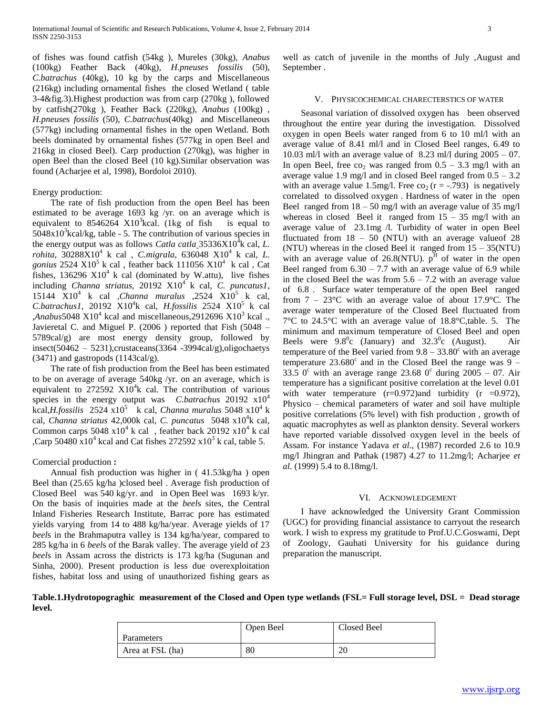of fishes was found catfish (54kg ), Mureles (30kg), *Anabus* (100kg) Feather Back (40kg), *H.pneuses fossilis* (50), *C.batrachus* (40kg), 10 kg by the carps and Miscellaneous (216kg) including ornamental fishes the closed Wetland ( table 3-4&fig.3).Highest production was from carp (270kg ), followed by catfish(270kg ), Feather Back (220kg), *Anabus* (100kg) , *H.pneuses fossilis* (50), *C.batrachus*(40kg) and Miscellaneous (577kg) including ornamental fishes in the open Wetland. Both beels dominated by ornamental fishes (577kg in open Beel and 216kg in closed Beel). Carp production (270kg), was higher in open Beel than the closed Beel (10 kg).Similar observation was found (Acharjee et al, 1998), Bordoloi 2010).

#### Energy production:

 The rate of fish production from the open Beel has been estimated to be average 1693 kg /yr. on an average which is equivalent to  $8546264 \times 10^3$  kcal. (1kg of fish is equal to  $5048x10<sup>3</sup>$ kcal/kg, table - 5. The contribution of various species in the energy output was as follows *Catla catla*  $35336X10^{\frac{3}{4}}$ k cal, *L*. *rohita*, 30288X10<sup>4</sup> k cal , *C.migrala*, 636048 X10<sup>4</sup> k cal, *L.*  gonius  $2524 \text{ X}10^5$  k cal, feather back  $111056 \text{ X}10^4$  k cal, Cat fishes, 136296  $X10<sup>4</sup>$  k cal (dominated by W.attu), live fishes including *Channa striatus,* 20192 X10<sup>4</sup> k cal, *C. puncatus1*, 15144  $X10^4$  k cal *,Channa muralus* ,2524  $X10^5$  k cal, C.batrachus1, 20192 X10<sup>4</sup>k cal, *H.fossilis* 2524 X10<sup>5</sup> k cal  $\mu$ *Anabus* 5048 X10<sup>4</sup> kcal and miscellaneous, 2912696 X10<sup>3</sup> kcal., Javieretal C. and Miguel P. (2006 ) reported that Fish (5048 – 5789cal/g) are most energy density group, followed by insect(50462 – 5231),crustaceans(3364 -3994cal/g),oligochaetys  $(3471)$  and gastropods  $(1143cal/g)$ .

 The rate of fish production from the Beel has been estimated to be on average of average 540kg /yr. on an average, which is equivalent to  $272592 \times 10^4$ k cal. The contribution of various species in the energy output was *C.batrachus* 20192 x10<sup>4</sup> kcal,*H.fossilis* 2524 x10<sup>5</sup> k cal, *Channa muralus* 5048 x10<sup>4</sup> k cal, *Channa striatus* 42,000k cal, *C. puncatus* 5048 x10<sup>4</sup> k cal, Common carps  $5048 \times 10^4$  k cal, feather back  $20192 \times 10^4$  k cal ,Carp 50480  $\bar{x}$ 10<sup>4</sup> kcal and Cat fishes 272592  $\bar{x}$ 10<sup>3</sup> k cal, table 5.

## Comercial production **:**

 Annual fish production was higher in ( 41.53kg/ha ) open Beel than (25.65 kg/ha )closed beel . Average fish production of Closed Beel was 540 kg/yr. and in Open Beel was 1693 k/yr. On the basis of inquiries made at the *beel*s sites, the Central Inland Fisheries Research Institute, Barrac pore has estimated yields varying from 14 to 488 kg/ha/year. Average yields of 17 *beel*s in the Brahmaputra valley is 134 kg/ha/year, compared to 285 kg/ha in 6 *beel*s of the Barak valley. The average yield of 23 *beel*s in Assam across the districts is 173 kg/ha (Sugunan and Sinha, 2000). Present production is less due overexploitation fishes, habitat loss and using of unauthorized fishing gears as

well as catch of juvenile in the months of July ,August and September .

#### V. PHYSICOCHEMICAL CHARECTERSTICS OF WATER

 Seasonal variation of dissolved oxygen has been observed throughout the entire year during the investigation. Dissolved oxygen in open Beels water ranged from 6 to 10 ml/l with an average value of 8.41 ml/l and in Closed Beel ranges, 6.49 to 10.03 ml/l with an average value of  $8.23$  ml/l during  $2005 - 07$ . In open Beel, free co<sub>2</sub> was ranged from  $0.5 - 3.3$  mg/l with an average value 1.9 mg/l and in closed Beel ranged from  $0.5 - 3.2$ with an average value 1.5mg/l. Free co<sub>2</sub> ( $r = -0.793$ ) is negatively correlated to dissolved oxygen . Hardness of water in the open Beel ranged from  $18 - 50$  mg/l with an average value of 35 mg/l whereas in closed Beel it ranged from  $15 - 35$  mg/l with an average value of 23.1mg /l. Turbidity of water in open Beel fluctuated from  $18 - 50$  (NTU) with an average value of 28 (NTU) whereas in the closed Beel it ranged from 15 – 35(NTU) with an average value of 26.8(NTU).  $p^{H}$  of water in the open Beel ranged from  $6.30 - 7.7$  with an average value of 6.9 while in the closed Beel the was from  $5.6 - 7.2$  with an average value of 6.8 . Surface water temperature of the open Beel ranged from  $7 - 23$ °C with an average value of about 17.9°C. The average water temperature of the Closed Beel fluctuated from 7°C to 24.5°C with an average value of 18.8°C,table. 5. The minimum and maximum temperature of Closed Beel and open Beels were  $9.8^{\circ}$ c (January) and  $32.3^{\circ}$ c (August). Air temperature of the Beel varied from  $9.8 - 33.80^{\circ}$  with an average temperature  $23.680^{\circ}$  and in the Closed Beel the range was 9 – 33.5 0° with an average range 23.68 0° during 2005 – 07. Air temperature has a significant positive correlation at the level 0.01 with water temperature  $(r=0.972)$  and turbidity  $(r = 0.972)$ , Physico – chemical parameters of water and soil have multiple positive correlations (5% level) with fish production , growth of aquatic macrophytes as well as plankton density. Several workers have reported variable dissolved oxygen level in the beels of Assam. For instance Yadava *et al*., (1987) recorded 2.6 to 10.9 mg/l Jhingran and Pathak (1987) 4.27 to 11.2mg/l; Acharjee *et al*. (1999) 5.4 to 8.18mg/l.

#### VI. ACKNOWLEDGEMENT

 I have acknowledged the University Grant Commission (UGC) for providing financial assistance to carryout the research work. I wish to express my gratitude to Prof.U.C.Goswami, Dept of Zoology, Gauhati University for his guidance during preparation the manuscript.

**Table.1.Hydrotopograghic measurement of the Closed and Open type wetlands (FSL= Full storage level, DSL = Dead storage level.**

| Parameters       | Open Beel | Closed Beel |
|------------------|-----------|-------------|
| Area at FSL (ha) | 80        | 20          |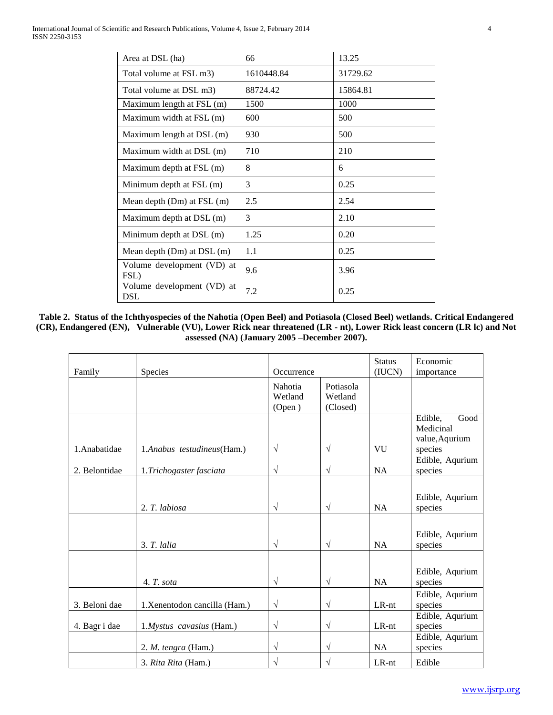| Area at DSL (ha)                   | 66         | 13.25    |
|------------------------------------|------------|----------|
| Total volume at FSL m3)            | 1610448.84 | 31729.62 |
| Total volume at DSL m3)            | 88724.42   | 15864.81 |
| Maximum length at FSL (m)          | 1500       | 1000     |
| Maximum width at FSL (m)           | 600        | 500      |
| Maximum length at DSL (m)          | 930        | 500      |
| Maximum width at DSL (m)           | 710        | 210      |
| Maximum depth at FSL (m)           | 8          | 6        |
| Minimum depth at FSL (m)           | 3          | 0.25     |
| Mean depth $(Dm)$ at $FSL(m)$      | 2.5        | 2.54     |
| Maximum depth at DSL (m)           | 3          | 2.10     |
| Minimum depth at $DSL(m)$          | 1.25       | 0.20     |
| Mean depth (Dm) at DSL (m)         | 1.1        | 0.25     |
| Volume development (VD) at<br>FSL) | 9.6        | 3.96     |
| Volume development (VD) at<br>DSL  | 7.2        | 0.25     |

**Table 2. Status of the Ichthyospecies of the Nahotia (Open Beel) and Potiasola (Closed Beel) wetlands. Critical Endangered (CR), Endangered (EN), Vulnerable (VU), Lower Rick near threatened (LR - nt), Lower Rick least concern (LR lc) and Not assessed (NA) (January 2005 –December 2007).**

| Family        | Species                       | Occurrence                   |                                  |           | Economic<br>importance                                    |
|---------------|-------------------------------|------------------------------|----------------------------------|-----------|-----------------------------------------------------------|
|               |                               | Nahotia<br>Wetland<br>(Open) | Potiasola<br>Wetland<br>(Closed) |           |                                                           |
| 1.Anabatidae  | 1.Anabus testudineus (Ham.)   | $\sqrt{ }$                   | $\sqrt{}$                        | VU        | Edible,<br>Good<br>Medicinal<br>value, Aqurium<br>species |
| 2. Belontidae | 1.Trichogaster fasciata       | $\sqrt{ }$                   | $\sqrt{}$                        | <b>NA</b> | Edible, Aqurium<br>species                                |
|               | 2. T. labiosa                 | $\sqrt{ }$                   | $\sqrt{}$                        | <b>NA</b> | Edible, Aqurium<br>species                                |
|               | $3. T.$ lalia                 | $\sqrt{ }$                   | $\sqrt{}$                        | <b>NA</b> | Edible, Aqurium<br>species                                |
|               | 4. T. sota                    | $\sqrt{}$                    | $\sqrt{}$                        | <b>NA</b> | Edible, Aqurium<br>species                                |
| 3. Beloni dae | 1. Xenentodon cancilla (Ham.) | $\sqrt{ }$                   | $\sqrt{}$                        | LR-nt     | Edible, Aqurium<br>species                                |
| 4. Bagr i dae | 1.Mystus cavasius (Ham.)      | $\sqrt{ }$                   | $\sqrt{}$                        | LR-nt     | Edible, Aqurium<br>species                                |
|               | 2. M. tengra (Ham.)           | $\sqrt{ }$                   | $\sqrt{}$                        | <b>NA</b> | Edible, Aqurium<br>species                                |
|               | 3. Rita Rita (Ham.)           | V                            | V                                | LR-nt     | Edible                                                    |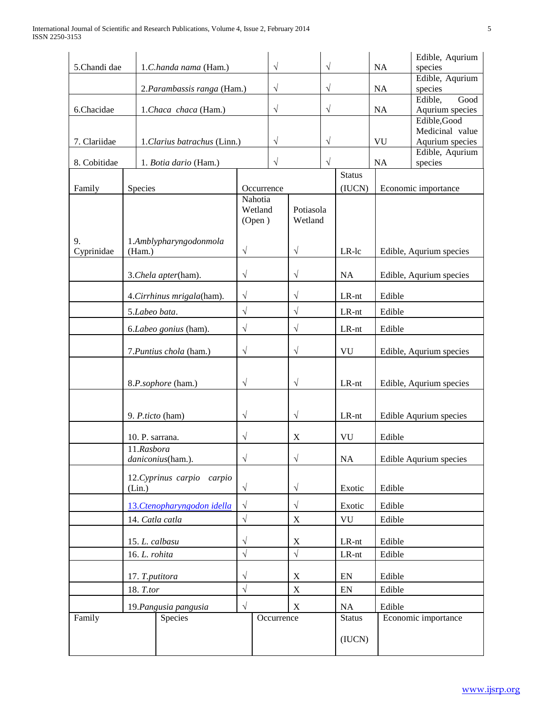| 5.Chandi dae       | 1.C.handa nama (Ham.) |                              | $\sqrt{}$         | $\sqrt{}$   |                                 |                   | NA                      | Edible, Aqurium<br>species |                                    |  |
|--------------------|-----------------------|------------------------------|-------------------|-------------|---------------------------------|-------------------|-------------------------|----------------------------|------------------------------------|--|
|                    |                       | 2. Parambassis ranga (Ham.)  |                   | $\sqrt{}$   |                                 | $\sqrt{}$         |                         | NA                         | Edible, Aqurium<br>species         |  |
| 6.Chacidae         | 1.Chaca chaca (Ham.)  |                              |                   | $\sqrt{}$   |                                 | $\sqrt{}$         |                         | NA                         | Good<br>Edible,                    |  |
|                    |                       |                              |                   |             |                                 |                   |                         |                            | Aqurium species<br>Edible, Good    |  |
|                    |                       |                              |                   |             |                                 |                   |                         |                            | Medicinal value                    |  |
| 7. Clariidae       |                       | 1. Clarius batrachus (Linn.) | $\sqrt{}$         |             |                                 | $\sqrt{}$         |                         | <b>VU</b>                  | Aqurium species<br>Edible, Aqurium |  |
| 8. Cobitidae       |                       | 1. Botia dario (Ham.)        | $\sqrt{}$         |             |                                 | V                 |                         | NA                         | species                            |  |
| Family             | <b>Species</b>        |                              | Occurrence        |             |                                 |                   | <b>Status</b><br>(IUCN) |                            | Economic importance                |  |
|                    |                       |                              | Nahotia<br>(Open) | Wetland     | Potiasola<br>Wetland            |                   |                         |                            |                                    |  |
| 9.<br>Cyprinidae   | (Ham.)                | 1.Amblypharyngodonmola       | $\sqrt{2}$        |             | $\sqrt{ }$                      |                   | LR-lc                   |                            | Edible, Aqurium species            |  |
|                    |                       | 3.Chela apter(ham).          | $\sqrt{}$         |             | $\sqrt{}$                       |                   | <b>NA</b>               |                            | Edible, Aqurium species            |  |
|                    |                       | 4. Cirrhinus mrigala(ham).   | $\sqrt{}$         |             | $\sqrt{}$                       |                   | LR-nt                   | Edible                     |                                    |  |
|                    |                       | 5.Labeo bata.                | $\sqrt{ }$        |             | $\sqrt{2}$                      |                   | LR-nt                   | Edible                     |                                    |  |
|                    |                       | 6.Labeo gonius (ham).        | $\sqrt{}$         |             | $\sqrt{}$<br>LR-nt              |                   | Edible                  |                            |                                    |  |
|                    |                       | 7. Puntius chola (ham.)      | $\sqrt{}$         |             | $\sqrt{}$<br>VU                 |                   |                         | Edible, Aqurium species    |                                    |  |
| 8.P.sophore (ham.) |                       | $\sqrt{}$                    |                   | $\sqrt{ }$  |                                 | LR-nt             |                         | Edible, Aqurium species    |                                    |  |
|                    |                       | 9. P.ticto (ham)             | $\sqrt{}$         |             | $\sqrt{ }$                      |                   | LR-nt                   |                            | Edible Aqurium species             |  |
|                    |                       | 10. P. sarrana.              | $\sqrt{}$         |             | X<br>VU                         |                   |                         | Edible                     |                                    |  |
|                    | 11.Rasbora            | daniconius(ham.).            | $\sqrt{}$         |             | $\sqrt{}$                       |                   | <b>NA</b>               |                            | Edible Aqurium species             |  |
|                    | (Lin.)                | 12. Cyprinus carpio carpio   | $\sqrt{ }$        |             | $\sqrt{ }$                      |                   | Exotic                  | Edible                     |                                    |  |
|                    |                       | 13. Ctenopharyngodon idella  | $\sqrt{}$         |             | $\sqrt{}$                       |                   | Exotic                  | Edible                     |                                    |  |
|                    |                       | 14. Catla catla              | $\sqrt{ }$        |             | $\mathbf X$<br>${\rm V}{\rm U}$ |                   |                         | Edible                     |                                    |  |
|                    | 15. L. calbasu        |                              | $\sqrt{}$         |             | X                               |                   | LR-nt                   | Edible                     |                                    |  |
| 16. L. rohita      |                       | $\sqrt{ }$                   |                   | $\sqrt{ }$  |                                 | $LR-nt$<br>Edible |                         |                            |                                    |  |
| 17. T.putitora     |                       | $\sqrt{}$                    |                   | $\mathbf X$ |                                 | EN                | Edible                  |                            |                                    |  |
| 18. T.tor          |                       | $\sqrt{2}$                   |                   | $\mathbf X$ |                                 | ${\rm EN}$        | Edible                  |                            |                                    |  |
|                    |                       | 19. Pangusia pangusia        | $\sqrt{}$         |             | $\mathbf X$                     |                   | NA                      | Edible                     |                                    |  |
| Family             |                       | Species                      |                   | Occurrence  |                                 |                   | <b>Status</b>           |                            | Economic importance                |  |
|                    |                       |                              |                   |             |                                 |                   | (IUCN)                  |                            |                                    |  |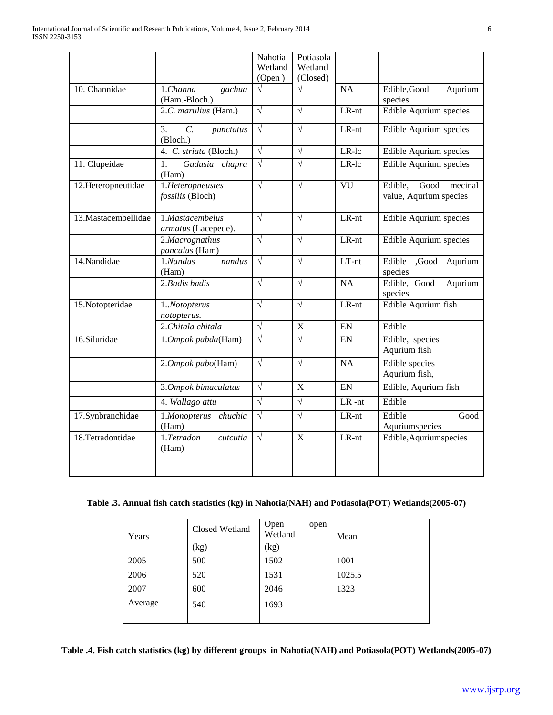|                      |                                                 | Nahotia<br>Wetland<br>(Open) | Potiasola<br>Wetland<br>(Closed) |           |                                                      |
|----------------------|-------------------------------------------------|------------------------------|----------------------------------|-----------|------------------------------------------------------|
| 10. Channidae        | 1. Channa<br>gachua<br>(Ham.-Bloch.)            | $\sqrt{}$                    | $\sqrt{}$                        | <b>NA</b> | Edible, Good<br>Aqurium<br>species                   |
|                      | 2.C. marulius (Ham.)                            | $\sqrt{}$                    | $\sqrt{ }$                       | $LR-nt$   | Edible Aqurium species                               |
|                      | $\overline{C}$ .<br>3.<br>punctatus<br>(Bloch.) | $\sqrt{ }$                   | $\sqrt{ }$                       | $LR-nt$   | Edible Aqurium species                               |
|                      | 4. C. striata (Bloch.)                          | $\sqrt{}$                    | $\sqrt{}$                        | LR-lc     | Edible Aqurium species                               |
| 11. Clupeidae        | 1.<br>Gudusia chapra<br>(Ham)                   | $\sqrt{ }$                   | $\sqrt{}$                        | LR-lc     | <b>Edible Aqurium species</b>                        |
| 12.Heteropneutidae   | 1.Heteropneustes<br>fossilis (Bloch)            | $\sqrt{}$                    | $\sqrt{}$                        | VU        | Edible,<br>Good<br>mecinal<br>value, Aqurium species |
| 13. Mastacembellidae | 1.Mastacembelus<br>armatus (Lacepede).          | $\sqrt{}$                    | $\sqrt{ }$                       | $LR-nt$   | Edible Aqurium species                               |
|                      | 2.Macrognathus<br>pancalus (Ham)                | $\sqrt{}$                    | $\sqrt{}$                        | LR-nt     | Edible Aqurium species                               |
| 14.Nandidae          | 1.Nandus<br>nandus<br>(Ham)                     | $\sqrt{ }$                   | $\sqrt{ }$                       | $LT-nt$   | Edible<br>,Good<br>Aqurium<br>species                |
|                      | $2.$ Badis badis                                | $\sqrt{}$                    | $\sqrt{}$                        | NA        | Edible, Good<br>Aqurium<br>species                   |
| 15. Notopteridae     | 1Notopterus<br>notopterus.                      | $\sqrt{}$                    | $\sqrt{ }$                       | $LR-nt$   | Edible Aqurium fish                                  |
|                      | 2.Chitala chitala                               | $\sqrt{ }$                   | $\mathbf X$                      | EN        | Edible                                               |
| 16.Siluridae         | 1.Ompok pabda(Ham)                              | $\sqrt{}$                    | $\sqrt{}$                        | EN        | Edible, species<br>Aqurium fish                      |
|                      | 2.Ompok pabo(Ham)                               | $\sqrt{}$                    | $\sqrt{ }$                       | <b>NA</b> | Edible species<br>Aqurium fish,                      |
|                      | 3.Ompok bimaculatus                             | $\sqrt{ }$                   | X                                | <b>FN</b> | Edible, Aqurium fish                                 |
|                      | 4. Wallago attu                                 | $\sqrt{}$                    | $\sqrt{}$                        | $LR - nt$ | Edible                                               |
| 17.Synbranchidae     | 1.Monopterus chuchia<br>(Ham)                   | $\sqrt{}$                    | $\sqrt{}$                        | LR-nt     | Edible<br>Good<br>Aquriumspecies                     |
| 18.Tetradontidae     | 1.Tetradon<br><i>cutcutia</i><br>(Ham)          | $\sqrt{ }$                   | $\overline{X}$                   | $LR-nt$   | Edible, Aqurium species                              |

# **Table .3. Annual fish catch statistics (kg) in Nahotia(NAH) and Potiasola(POT) Wetlands(2005-07)**

| Years   | Closed Wetland | Open<br>open<br>Wetland | Mean   |
|---------|----------------|-------------------------|--------|
|         | (kg)           | (kg)                    |        |
| 2005    | 500            | 1502                    | 1001   |
| 2006    | 520            | 1531                    | 1025.5 |
| 2007    | 600            | 2046                    | 1323   |
| Average | 540            | 1693                    |        |
|         |                |                         |        |

**Table .4. Fish catch statistics (kg) by different groups in Nahotia(NAH) and Potiasola(POT) Wetlands(2005-07)**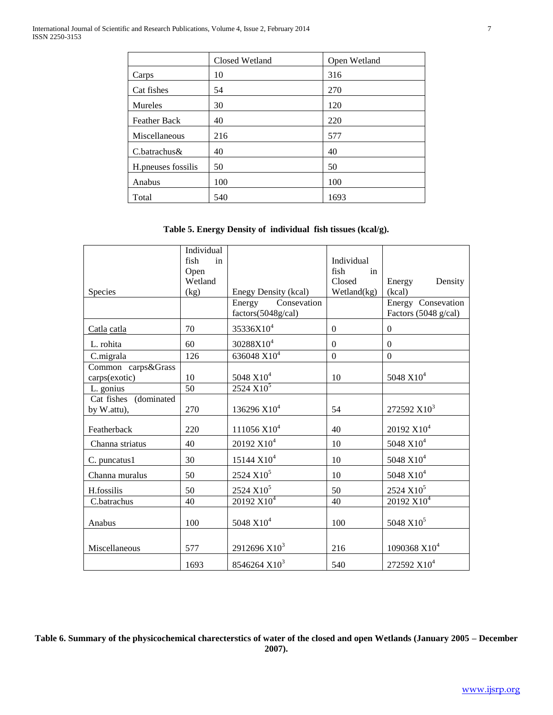|                     | Closed Wetland | Open Wetland |
|---------------------|----------------|--------------|
| Carps               | 10             | 316          |
| Cat fishes          | 54             | 270          |
| <b>Mureles</b>      | 30             | 120          |
| <b>Feather Back</b> | 40             | 220          |
| Miscellaneous       | 216            | 577          |
| C.batrachus&        | 40             | 40           |
| H.pneuses fossilis  | 50             | 50           |
| Anabus              | 100            | 100          |
| Total               | 540            | 1693         |

# **Table 5. Energy Density of individual fish tissues (kcal/g).**

|                       | Individual |                          |                |                          |
|-----------------------|------------|--------------------------|----------------|--------------------------|
|                       | fish<br>in |                          | Individual     |                          |
|                       | Open       |                          | fish<br>in     |                          |
|                       | Wetland    |                          | Closed         | Density<br>Energy        |
| Species               | (kg)       | Enegy Density (kcal)     | Wetland(kg)    | (kcal)                   |
|                       |            | Consevation<br>Energy    |                | Energy Consevation       |
|                       |            | factors(5048g/cal)       |                | Factors (5048 g/cal)     |
| Catla catla           | 70         | 35336X10 <sup>4</sup>    | $\mathbf{0}$   | $\boldsymbol{0}$         |
| L. rohita             | 60         | 30288X10 <sup>4</sup>    | $\overline{0}$ | $\Omega$                 |
| C.migrala             | 126        | 636048 $X10^4$           | $\mathbf{0}$   | $\Omega$                 |
| Common carps&Grass    |            |                          |                |                          |
| carps(exotic)         | 10         | 5048 X10 <sup>4</sup>    | 10             | 5048 X10 <sup>4</sup>    |
| L. gonius             | 50         | $2524 X10^5$             |                |                          |
| Cat fishes (dominated |            |                          |                |                          |
| by W.attu),           | 270        | 136296 X10 <sup>4</sup>  | 54             | 272592 X10 <sup>3</sup>  |
| Featherback           | 220        | 111056 X10 <sup>4</sup>  | 40             | 20192 X10 <sup>4</sup>   |
| Channa striatus       | 40         | 20192 X10 <sup>4</sup>   | 10             | 5048 X10 <sup>4</sup>    |
| C. puncatus1          | 30         | 15144 X10 <sup>4</sup>   | 10             | 5048 X10 <sup>4</sup>    |
| Channa muralus        | 50         | $2524 X10^5$             | 10             | 5048 X10 <sup>4</sup>    |
| H.fossilis            | 50         | $2524 X10^5$             | 50             | $2524 X10^5$             |
| C.batrachus           | 40         | 20192 X10 <sup>4</sup>   | 40             | 20192 X10 <sup>4</sup>   |
| Anabus                | 100        | $5048 X10^{4}$           | 100            | 5048 X10 <sup>5</sup>    |
|                       |            |                          |                |                          |
| Miscellaneous         | 577        | 2912696 X10 <sup>3</sup> | 216            | 1090368 X10 <sup>4</sup> |
|                       | 1693       | 8546264 X10 <sup>3</sup> | 540            | 272592 X10 <sup>4</sup>  |

**Table 6. Summary of the physicochemical charecterstics of water of the closed and open Wetlands (January 2005 – December 2007).**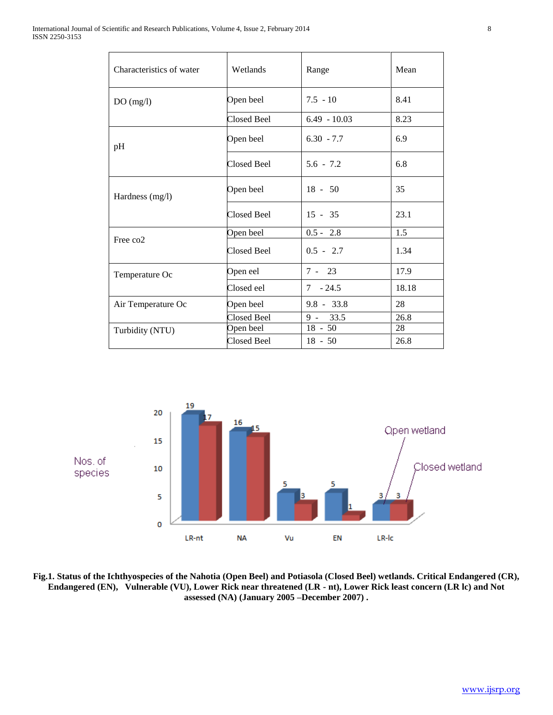| Characteristics of water | Wetlands           | Range          | Mean  |
|--------------------------|--------------------|----------------|-------|
| DO(mg/l)                 | Open beel          | $7.5 - 10$     | 8.41  |
|                          | Closed Beel        | $6.49 - 10.03$ | 8.23  |
| pH                       | Open beel          | $6.30 - 7.7$   | 6.9   |
|                          | <b>Closed Beel</b> | $5.6 - 7.2$    | 6.8   |
| Hardness (mg/l)          | Open beel          | $18 - 50$      | 35    |
|                          | Closed Beel        | $15 - 35$      | 23.1  |
| Free co <sub>2</sub>     | Open beel          | $0.5 - 2.8$    | 1.5   |
|                          | <b>Closed Beel</b> | $0.5 - 2.7$    | 1.34  |
| Temperature Oc           | Open eel           | $7 - 23$       | 17.9  |
|                          | Closed eel         | $7 - 24.5$     | 18.18 |
| Air Temperature Oc       | Open beel          | $9.8 - 33.8$   | 28    |
|                          | Closed Beel        | $9 - 33.5$     | 26.8  |
| Turbidity (NTU)          | Open beel          | $18 - 50$      | 28    |
|                          | Closed Beel        | $18 - 50$      | 26.8  |



**Fig.1. Status of the Ichthyospecies of the Nahotia (Open Beel) and Potiasola (Closed Beel) wetlands. Critical Endangered (CR), Endangered (EN), Vulnerable (VU), Lower Rick near threatened (LR - nt), Lower Rick least concern (LR lc) and Not assessed (NA) (January 2005 –December 2007) .**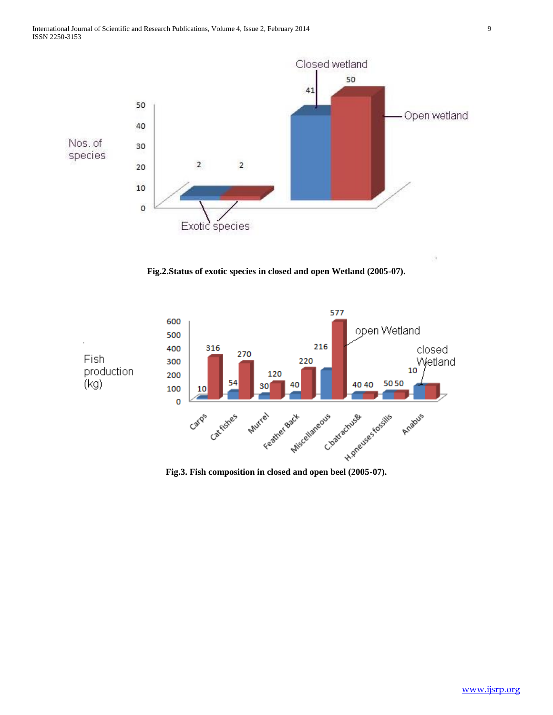

**Fig.2.Status of exotic species in closed and open Wetland (2005-07).**



**Fig.3. Fish composition in closed and open beel (2005-07).**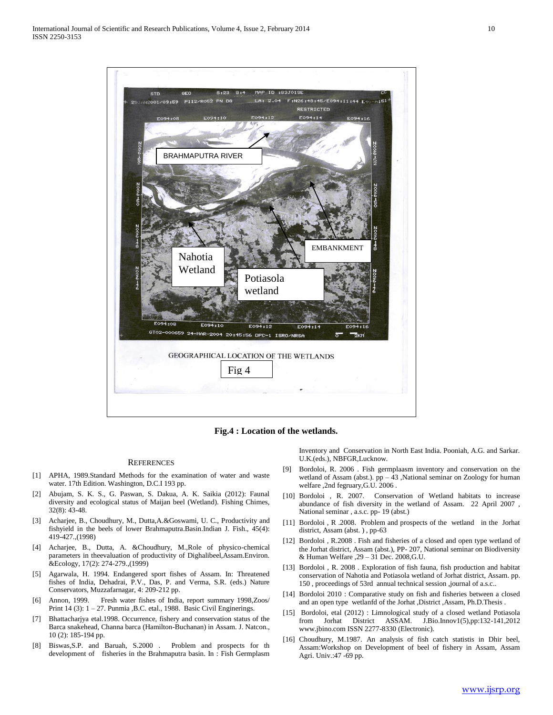

**Fig.4 : Location of the wetlands.**

#### **REFERENCES**

- [1] APHA, 1989.Standard Methods for the examination of water and waste water. 17th Edition. Washington, D.C.I 193 pp.
- [2] Abujam, S. K. S., G. Paswan, S. Dakua, A. K. Saikia (2012): Faunal diversity and ecological status of Maijan beel (Wetland). Fishing Chimes, 32(8): 43-48.
- [3] Acharjee, B., Choudhury, M., Dutta,A.&Goswami, U. C., Productivity and fishyield in the beels of lower Brahmaputra.Basin.Indian J. Fish., 45(4): 419-427.,(1998)
- [4] Acharjee, B., Dutta, A. &Choudhury, M.,Role of physico-chemical parameters in theevaluation of productivity of Dighalibeel,Assam.Environ. &Ecology, 17(2): 274-279.,(1999)
- [5] Agarwala, H. 1994. Endangered sport fishes of Assam. In: Threatened fishes of India, Dehadrai, P.V., Das, P. and Verma, S.R. (eds.) Nature Conservators, Muzzafarnagar, 4: 209-212 pp.
- [6] Annon, 1999. Fresh water fishes of India, report summary 1998,Zoos/ Print 14 (3): 1 – 27. Punmia , B.C. etal., 1988. Basic Civil Enginerings.
- [7] Bhattacharjya etal.1998. Occurrence, fishery and conservation status of the Barca snakehead, Channa barca (Hamilton-Buchanan) in Assam. J. Natcon., 10 (2): 185-194 pp.
- [8] Biswas,S.P. and Baruah, S.2000 . Problem and prospects for th development of fisheries in the Brahmaputra basin. In : Fish Germplasm

Inventory and Conservation in North East India. Pooniah, A.G. and Sarkar. U.K.(eds.), NBFGR,Lucknow.

- [9] Bordoloi, R. 2006 . Fish germplaasm inventory and conservation on the wetland of Assam (abst.).  $pp - 43$  , National seminar on Zoology for human welfare ,2nd fegruary,G.U. 2006 .
- [10] Bordoloi , R. 2007. Conservation of Wetland habitats to increase abundance of fish diversity in the wetland of Assam. 22 April 2007 , National seminar , a.s.c. pp- 19 (abst.)
- [11] Bordoloi , R .2008. Problem and prospects of the wetland in the Jorhat district, Assam (abst. ) , pp-63
- [12] Bordoloi, R.2008. Fish and fisheries of a closed and open type wetland of the Jorhat district, Assam (abst.), PP- 207, National seminar on Biodiversity & Human Welfare ,29 – 31 Dec. 2008,G.U.
- [13] Bordoloi, R. 2008. Exploration of fish fauna, fish production and habitat conservation of Nahotia and Potiasola wetland of Jorhat district, Assam. pp. 150 , proceedings of 53rd annual technical session ,journal of a.s.c..
- [14] Bordoloi 2010 : Comparative study on fish and fisheries between a closed and an open type wetlanfd of the Jorhat ,District ,Assam, Ph.D.Thesis .
- [15] Bordoloi, etal (2012) : Limnological study of a closed wetland Potiasola from Jorhat District ASSAM. J.Bio.Innov1(5),pp:132-141,2012 www.jbino.com ISSN 2277-8330 (Electronic).
- [16] Choudhury, M.1987. An analysis of fish catch statistis in Dhir beel, Assam:Workshop on Development of beel of fishery in Assam, Assam Agri. Univ.:47 -69 pp.